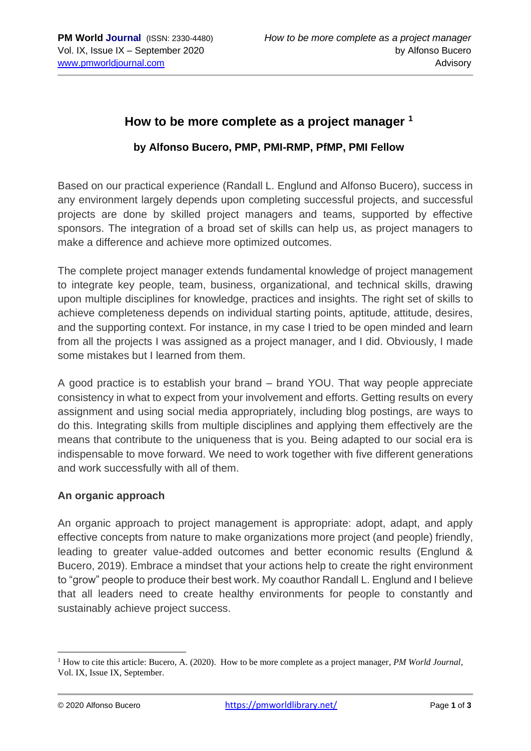# **How to be more complete as a project manager <sup>1</sup>**

## **by Alfonso Bucero, PMP, PMI-RMP, PfMP, PMI Fellow**

Based on our practical experience (Randall L. Englund and Alfonso Bucero), success in any environment largely depends upon completing successful projects, and successful projects are done by skilled project managers and teams, supported by effective sponsors. The integration of a broad set of skills can help us, as project managers to make a difference and achieve more optimized outcomes.

The complete project manager extends fundamental knowledge of project management to integrate key people, team, business, organizational, and technical skills, drawing upon multiple disciplines for knowledge, practices and insights. The right set of skills to achieve completeness depends on individual starting points, aptitude, attitude, desires, and the supporting context. For instance, in my case I tried to be open minded and learn from all the projects I was assigned as a project manager, and I did. Obviously, I made some mistakes but I learned from them.

A good practice is to establish your brand – brand YOU. That way people appreciate consistency in what to expect from your involvement and efforts. Getting results on every assignment and using social media appropriately, including blog postings, are ways to do this. Integrating skills from multiple disciplines and applying them effectively are the means that contribute to the uniqueness that is you. Being adapted to our social era is indispensable to move forward. We need to work together with five different generations and work successfully with all of them.

#### **An organic approach**

An organic approach to project management is appropriate: adopt, adapt, and apply effective concepts from nature to make organizations more project (and people) friendly, leading to greater value-added outcomes and better economic results (Englund & Bucero, 2019). Embrace a mindset that your actions help to create the right environment to "grow" people to produce their best work. My coauthor Randall L. Englund and I believe that all leaders need to create healthy environments for people to constantly and sustainably achieve project success.

<sup>&</sup>lt;sup>1</sup> How to cite this article: Bucero, A. (2020). How to be more complete as a project manager, *PM World Journal*, Vol. IX, Issue IX, September.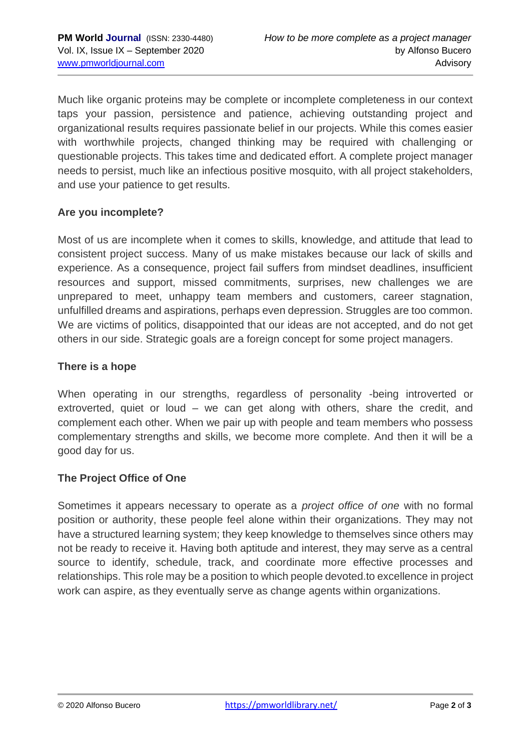Much like organic proteins may be complete or incomplete completeness in our context taps your passion, persistence and patience, achieving outstanding project and organizational results requires passionate belief in our projects. While this comes easier with worthwhile projects, changed thinking may be required with challenging or questionable projects. This takes time and dedicated effort. A complete project manager needs to persist, much like an infectious positive mosquito, with all project stakeholders, and use your patience to get results.

### **Are you incomplete?**

Most of us are incomplete when it comes to skills, knowledge, and attitude that lead to consistent project success. Many of us make mistakes because our lack of skills and experience. As a consequence, project fail suffers from mindset deadlines, insufficient resources and support, missed commitments, surprises, new challenges we are unprepared to meet, unhappy team members and customers, career stagnation, unfulfilled dreams and aspirations, perhaps even depression. Struggles are too common. We are victims of politics, disappointed that our ideas are not accepted, and do not get others in our side. Strategic goals are a foreign concept for some project managers.

#### **There is a hope**

When operating in our strengths, regardless of personality -being introverted or extroverted, quiet or loud – we can get along with others, share the credit, and complement each other. When we pair up with people and team members who possess complementary strengths and skills, we become more complete. And then it will be a good day for us.

#### **The Project Office of One**

Sometimes it appears necessary to operate as a *project office of one* with no formal position or authority, these people feel alone within their organizations. They may not have a structured learning system; they keep knowledge to themselves since others may not be ready to receive it. Having both aptitude and interest, they may serve as a central source to identify, schedule, track, and coordinate more effective processes and relationships. This role may be a position to which people devoted.to excellence in project work can aspire, as they eventually serve as change agents within organizations.